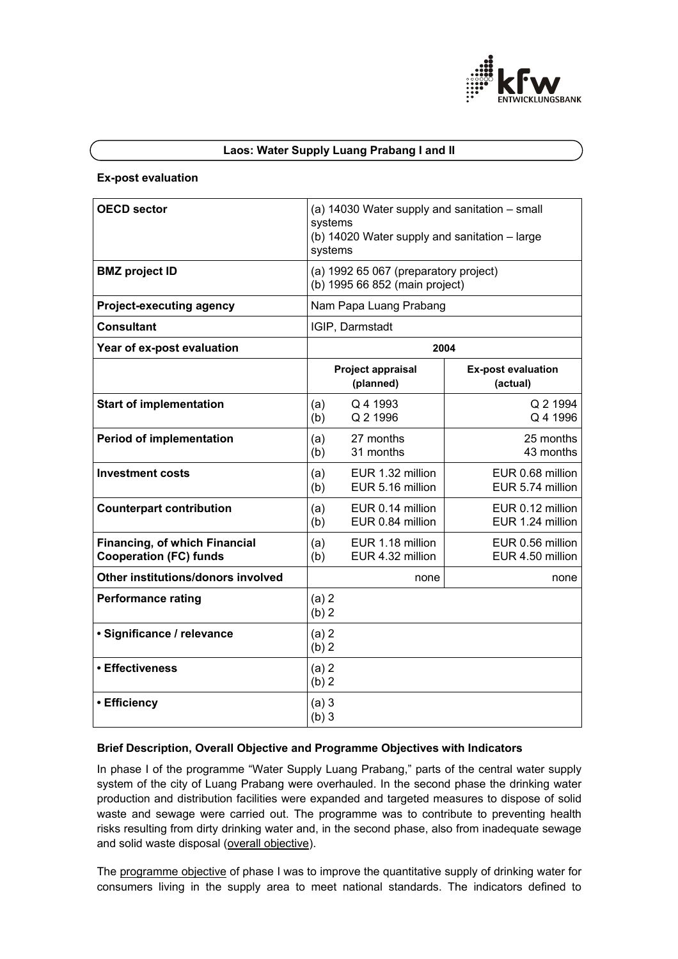

# **Laos: Water Supply Luang Prabang I and II**

#### **Ex-post evaluation**

| <b>OECD sector</b>                                                    | (a) 14030 Water supply and sanitation - small<br>systems<br>(b) 14020 Water supply and sanitation - large<br>systems |                                      |                                       |
|-----------------------------------------------------------------------|----------------------------------------------------------------------------------------------------------------------|--------------------------------------|---------------------------------------|
| <b>BMZ</b> project ID                                                 | (a) 1992 65 067 (preparatory project)<br>(b) 1995 66 852 (main project)                                              |                                      |                                       |
| <b>Project-executing agency</b>                                       | Nam Papa Luang Prabang                                                                                               |                                      |                                       |
| <b>Consultant</b>                                                     | IGIP, Darmstadt                                                                                                      |                                      |                                       |
| Year of ex-post evaluation                                            | 2004                                                                                                                 |                                      |                                       |
|                                                                       |                                                                                                                      | Project appraisal<br>(planned)       | <b>Ex-post evaluation</b><br>(actual) |
| <b>Start of implementation</b>                                        | (a)<br>(b)                                                                                                           | Q 4 1993<br>Q 2 1996                 | Q 2 1994<br>Q 4 1996                  |
| <b>Period of implementation</b>                                       | (a)<br>(b)                                                                                                           | 27 months<br>31 months               | 25 months<br>43 months                |
| <b>Investment costs</b>                                               | (a)<br>(b)                                                                                                           | EUR 1.32 million<br>EUR 5.16 million | EUR 0.68 million<br>EUR 5.74 million  |
| <b>Counterpart contribution</b>                                       | (a)<br>(b)                                                                                                           | EUR 0.14 million<br>EUR 0.84 million | EUR 0.12 million<br>EUR 1.24 million  |
| <b>Financing, of which Financial</b><br><b>Cooperation (FC) funds</b> | (a)<br>(b)                                                                                                           | EUR 1.18 million<br>EUR 4.32 million | EUR 0.56 million<br>EUR 4.50 million  |
| Other institutions/donors involved                                    |                                                                                                                      | none                                 | none                                  |
| <b>Performance rating</b>                                             | (a) 2<br>(b) 2                                                                                                       |                                      |                                       |
| · Significance / relevance                                            | (a) 2<br>(b) 2                                                                                                       |                                      |                                       |
| • Effectiveness                                                       | (a) 2<br>(b) 2                                                                                                       |                                      |                                       |
| • Efficiency                                                          | (a)3<br>(b)3                                                                                                         |                                      |                                       |

### **Brief Description, Overall Objective and Programme Objectives with Indicators**

In phase I of the programme "Water Supply Luang Prabang," parts of the central water supply system of the city of Luang Prabang were overhauled. In the second phase the drinking water production and distribution facilities were expanded and targeted measures to dispose of solid waste and sewage were carried out. The programme was to contribute to preventing health risks resulting from dirty drinking water and, in the second phase, also from inadequate sewage and solid waste disposal (overall objective).

The programme objective of phase I was to improve the quantitative supply of drinking water for consumers living in the supply area to meet national standards. The indicators defined to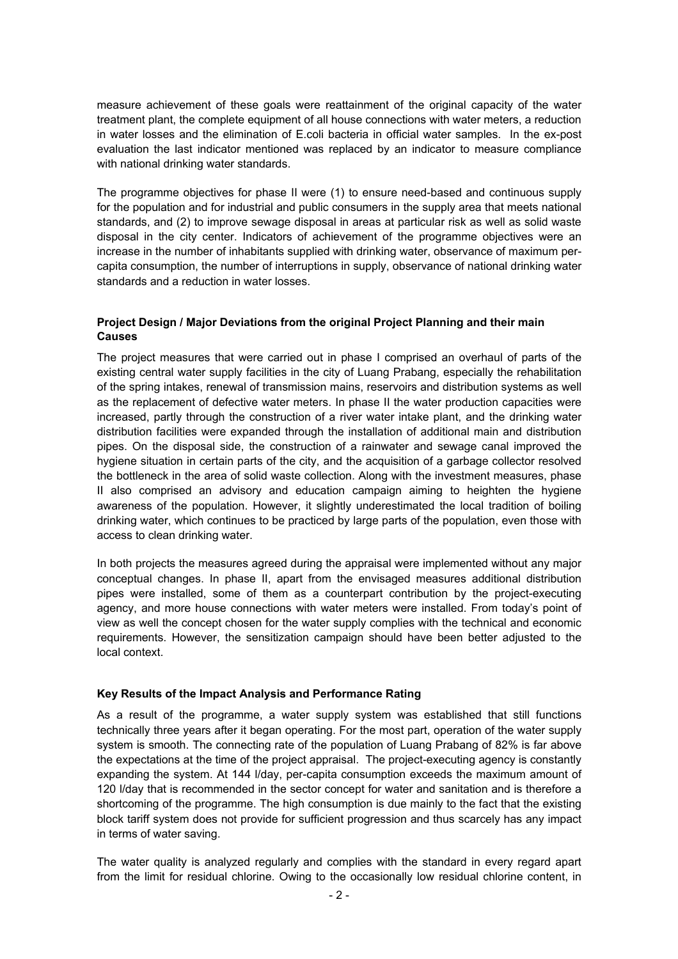measure achievement of these goals were reattainment of the original capacity of the water treatment plant, the complete equipment of all house connections with water meters, a reduction in water losses and the elimination of E.coli bacteria in official water samples. In the ex-post evaluation the last indicator mentioned was replaced by an indicator to measure compliance with national drinking water standards.

The programme objectives for phase II were (1) to ensure need-based and continuous supply for the population and for industrial and public consumers in the supply area that meets national standards, and (2) to improve sewage disposal in areas at particular risk as well as solid waste disposal in the city center. Indicators of achievement of the programme objectives were an increase in the number of inhabitants supplied with drinking water, observance of maximum percapita consumption, the number of interruptions in supply, observance of national drinking water standards and a reduction in water losses.

# **Project Design / Major Deviations from the original Project Planning and their main Causes**

The project measures that were carried out in phase I comprised an overhaul of parts of the existing central water supply facilities in the city of Luang Prabang, especially the rehabilitation of the spring intakes, renewal of transmission mains, reservoirs and distribution systems as well as the replacement of defective water meters. In phase II the water production capacities were increased, partly through the construction of a river water intake plant, and the drinking water distribution facilities were expanded through the installation of additional main and distribution pipes. On the disposal side, the construction of a rainwater and sewage canal improved the hygiene situation in certain parts of the city, and the acquisition of a garbage collector resolved the bottleneck in the area of solid waste collection. Along with the investment measures, phase II also comprised an advisory and education campaign aiming to heighten the hygiene awareness of the population. However, it slightly underestimated the local tradition of boiling drinking water, which continues to be practiced by large parts of the population, even those with access to clean drinking water.

In both projects the measures agreed during the appraisal were implemented without any major conceptual changes. In phase II, apart from the envisaged measures additional distribution pipes were installed, some of them as a counterpart contribution by the project-executing agency, and more house connections with water meters were installed. From today's point of view as well the concept chosen for the water supply complies with the technical and economic requirements. However, the sensitization campaign should have been better adjusted to the local context.

### **Key Results of the Impact Analysis and Performance Rating**

As a result of the programme, a water supply system was established that still functions technically three years after it began operating. For the most part, operation of the water supply system is smooth. The connecting rate of the population of Luang Prabang of 82% is far above the expectations at the time of the project appraisal. The project-executing agency is constantly expanding the system. At 144 l/day, per-capita consumption exceeds the maximum amount of 120 l/day that is recommended in the sector concept for water and sanitation and is therefore a shortcoming of the programme. The high consumption is due mainly to the fact that the existing block tariff system does not provide for sufficient progression and thus scarcely has any impact in terms of water saving.

The water quality is analyzed regularly and complies with the standard in every regard apart from the limit for residual chlorine. Owing to the occasionally low residual chlorine content, in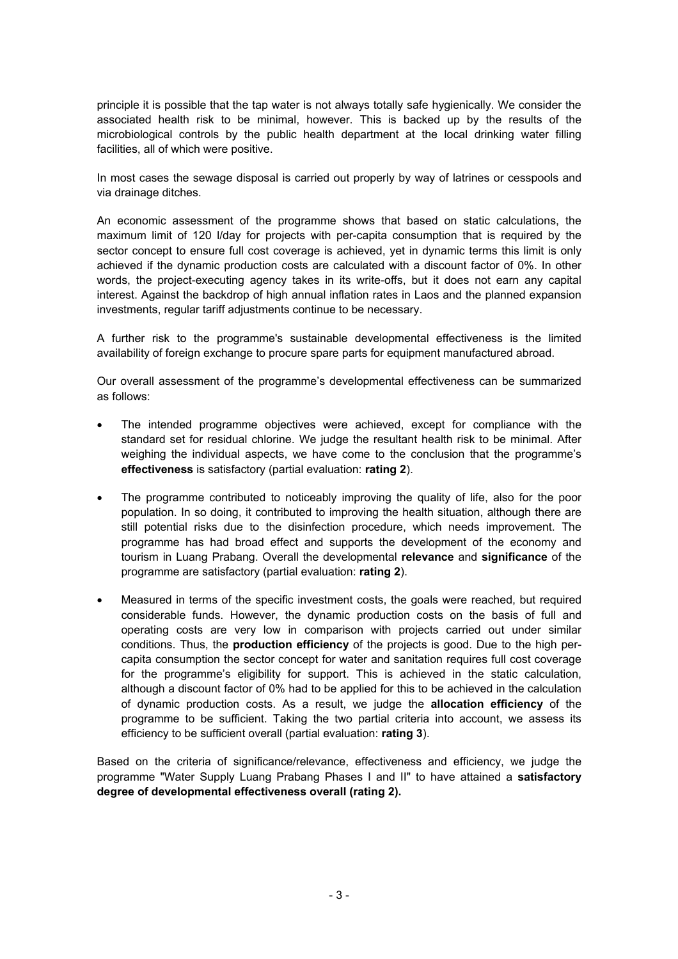principle it is possible that the tap water is not always totally safe hygienically. We consider the associated health risk to be minimal, however. This is backed up by the results of the microbiological controls by the public health department at the local drinking water filling facilities, all of which were positive.

In most cases the sewage disposal is carried out properly by way of latrines or cesspools and via drainage ditches.

An economic assessment of the programme shows that based on static calculations, the maximum limit of 120 l/day for projects with per-capita consumption that is required by the sector concept to ensure full cost coverage is achieved, yet in dynamic terms this limit is only achieved if the dynamic production costs are calculated with a discount factor of 0%. In other words, the project-executing agency takes in its write-offs, but it does not earn any capital interest. Against the backdrop of high annual inflation rates in Laos and the planned expansion investments, regular tariff adjustments continue to be necessary.

A further risk to the programme's sustainable developmental effectiveness is the limited availability of foreign exchange to procure spare parts for equipment manufactured abroad.

Our overall assessment of the programme's developmental effectiveness can be summarized as follows:

- The intended programme objectives were achieved, except for compliance with the standard set for residual chlorine. We judge the resultant health risk to be minimal. After weighing the individual aspects, we have come to the conclusion that the programme's **effectiveness** is satisfactory (partial evaluation: **rating 2**).
- The programme contributed to noticeably improving the quality of life, also for the poor population. In so doing, it contributed to improving the health situation, although there are still potential risks due to the disinfection procedure, which needs improvement. The programme has had broad effect and supports the development of the economy and tourism in Luang Prabang. Overall the developmental **relevance** and **significance** of the programme are satisfactory (partial evaluation: **rating 2**).
- Measured in terms of the specific investment costs, the goals were reached, but required considerable funds. However, the dynamic production costs on the basis of full and operating costs are very low in comparison with projects carried out under similar conditions. Thus, the **production efficiency** of the projects is good. Due to the high percapita consumption the sector concept for water and sanitation requires full cost coverage for the programme's eligibility for support. This is achieved in the static calculation, although a discount factor of 0% had to be applied for this to be achieved in the calculation of dynamic production costs. As a result, we judge the **allocation efficiency** of the programme to be sufficient. Taking the two partial criteria into account, we assess its efficiency to be sufficient overall (partial evaluation: **rating 3**).

Based on the criteria of significance/relevance, effectiveness and efficiency, we judge the programme "Water Supply Luang Prabang Phases I and II" to have attained a **satisfactory degree of developmental effectiveness overall (rating 2).**